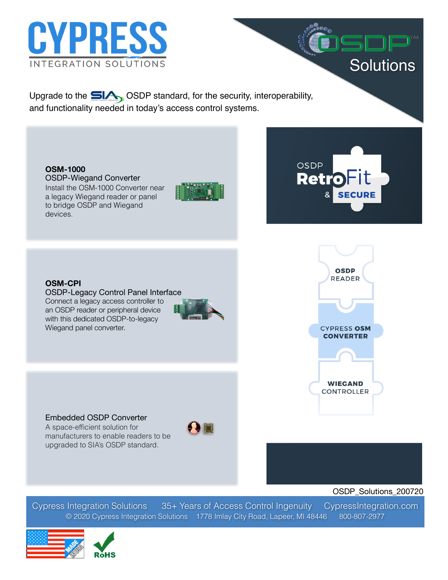

Upgrade to the **SIA** OSDP standard, for the security, interoperability, and functionality needed in today's access control systems.

**OSM-1000**  OSDP-Wiegand Converter Install the OSM-1000 Converter near a legacy Wiegand reader or panel to bridge OSDP and Wiegand devices.



OSDP **Retro** 

i

**Solutions** 

**OSM-CPI**  OSDP-Legacy Control Panel Interface Connect a legacy access controller to an OSDP reader or peripheral device with this dedicated OSDP-to-legacy Wiegand panel converter.





### Embedded OSDP Converter

A space-efficient solution for manufacturers to enable readers to be upgraded to SIA's OSDP standard.



OSDP\_Solutions\_200720

Cypress Integration Solutions 35+ Years of Access Control Ingenuity CypressIntegration.com © 2020 Cypress Integration Solutions 1778 Imlay City Road, Lapeer, MI 48446 800-807-2977